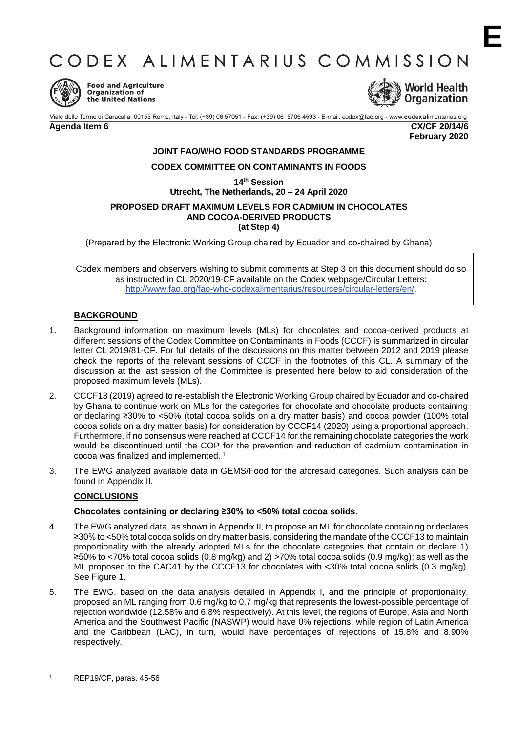# CODEX ALIMENTARIUS COMMISSION



**Food and Agriculture** Organization of the United Nations



Viale delle Terme di Caracalla, 00153 Rome, Italy - Tel: (+39) 06 57051 - Fax: (+39) 06 5705 4593 - E-mail: codex@fao.org - www.codexalimentarius.org **Agenda Item 6 CX/CF 20/14/6 February 2020**

## **JOINT FAO/WHO FOOD STANDARDS PROGRAMME**

## **CODEX COMMITTEE ON CONTAMINANTS IN FOODS**

**14th Session**

# **Utrecht, The Netherlands, 20 – 24 April 2020**

#### **PROPOSED DRAFT MAXIMUM LEVELS FOR CADMIUM IN CHOCOLATES AND COCOA-DERIVED PRODUCTS (at Step 4)**

(Prepared by the Electronic Working Group chaired by Ecuador and co-chaired by Ghana)

Codex members and observers wishing to submit comments at Step 3 on this document should do so as instructed in CL 2020/19-CF available on the Codex webpage/Circular Letters: [http://www.fao.org/fao-who-codexalimentarius/resources/circular-letters/en/.](http://www.fao.org/fao-who-codexalimentarius/resources/circular-letters/en/)

## **BACKGROUND**

- 1. Background information on maximum levels (MLs) for chocolates and cocoa-derived products at different sessions of the Codex Committee on Contaminants in Foods (CCCF) is summarized in circular letter CL 2019/81-CF. For full details of the discussions on this matter between 2012 and 2019 please check the reports of the relevant sessions of CCCF in the footnotes of this CL. A summary of the discussion at the last session of the Committee is presented here below to aid consideration of the proposed maximum levels (MLs).
- 2. CCCF13 (2019) agreed to re-establish the Electronic Working Group chaired by Ecuador and co-chaired by Ghana to continue work on MLs for the categories for chocolate and chocolate products containing or declaring ≥30% to <50% (total cocoa solids on a dry matter basis) and cocoa powder (100% total cocoa solids on a dry matter basis) for consideration by CCCF14 (2020) using a proportional approach. Furthermore, if no consensus were reached at CCCF14 for the remaining chocolate categories the work would be discontinued until the COP for the prevention and reduction of cadmium contamination in cocoa was finalized and implemented. <sup>1</sup>
- 3. The EWG analyzed available data in GEMS/Food for the aforesaid categories. Such analysis can be found in Appendix II.

# **CONCLUSIONS**

## **Chocolates containing or declaring ≥30% to <50% total cocoa solids.**

- 4. The EWG analyzed data, as shown in Appendix II, to propose an ML for chocolate containing or declares ≥30% to <50% total cocoa solids on dry matter basis, considering the mandate of the CCCF13 to maintain proportionality with the already adopted MLs for the chocolate categories that contain or declare 1) ≥50% to <70% total cocoa solids (0.8 mg/kg) and 2) >70% total cocoa solids (0.9 mg/kg); as well as the ML proposed to the CAC41 by the CCCF13 for chocolates with <30% total cocoa solids (0.3 mg/kg). See Figure 1.
- 5. The EWG, based on the data analysis detailed in Appendix I, and the principle of proportionality, proposed an ML ranging from 0.6 mg/kg to 0.7 mg/kg that represents the lowest-possible percentage of rejection worldwide (12.58% and 6.8% respectively). At this level, the regions of Europe, Asia and North America and the Southwest Pacific (NASWP) would have 0% rejections, while region of Latin America and the Caribbean (LAC), in turn, would have percentages of rejections of 15.8% and 8.90% respectively.

**.** 

<sup>1</sup> REP19/CF, paras. 45-56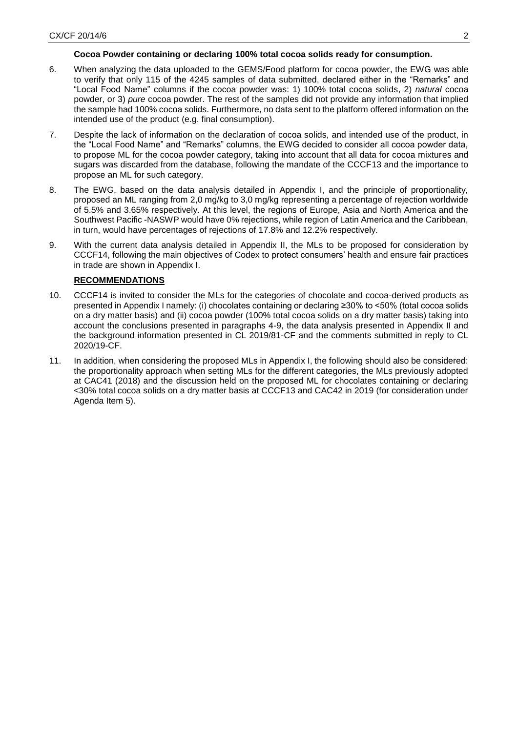## **Cocoa Powder containing or declaring 100% total cocoa solids ready for consumption.**

- 6. When analyzing the data uploaded to the GEMS/Food platform for cocoa powder, the EWG was able to verify that only 115 of the 4245 samples of data submitted, declared either in the "Remarks" and "Local Food Name" columns if the cocoa powder was: 1) 100% total cocoa solids, 2) *natural* cocoa powder, or 3) *pure* cocoa powder. The rest of the samples did not provide any information that implied the sample had 100% cocoa solids. Furthermore, no data sent to the platform offered information on the intended use of the product (e.g. final consumption).
- 7. Despite the lack of information on the declaration of cocoa solids, and intended use of the product, in the "Local Food Name" and "Remarks" columns, the EWG decided to consider all cocoa powder data, to propose ML for the cocoa powder category, taking into account that all data for cocoa mixtures and sugars was discarded from the database, following the mandate of the CCCF13 and the importance to propose an ML for such category.
- 8. The EWG, based on the data analysis detailed in Appendix I, and the principle of proportionality, proposed an ML ranging from 2,0 mg/kg to 3,0 mg/kg representing a percentage of rejection worldwide of 5.5% and 3.65% respectively. At this level, the regions of Europe, Asia and North America and the Southwest Pacific -NASWP would have 0% rejections, while region of Latin America and the Caribbean, in turn, would have percentages of rejections of 17.8% and 12.2% respectively.
- 9. With the current data analysis detailed in Appendix II, the MLs to be proposed for consideration by CCCF14, following the main objectives of Codex to protect consumers' health and ensure fair practices in trade are shown in Appendix I.

# **RECOMMENDATIONS**

- 10. CCCF14 is invited to consider the MLs for the categories of chocolate and cocoa-derived products as presented in Appendix I namely: (i) chocolates containing or declaring ≥30% to <50% (total cocoa solids on a dry matter basis) and (ii) cocoa powder (100% total cocoa solids on a dry matter basis) taking into account the conclusions presented in paragraphs 4-9, the data analysis presented in Appendix II and the background information presented in CL 2019/81-CF and the comments submitted in reply to CL 2020/19-CF.
- 11. In addition, when considering the proposed MLs in Appendix I, the following should also be considered: the proportionality approach when setting MLs for the different categories, the MLs previously adopted at CAC41 (2018) and the discussion held on the proposed ML for chocolates containing or declaring <30% total cocoa solids on a dry matter basis at CCCF13 and CAC42 in 2019 (for consideration under Agenda Item 5).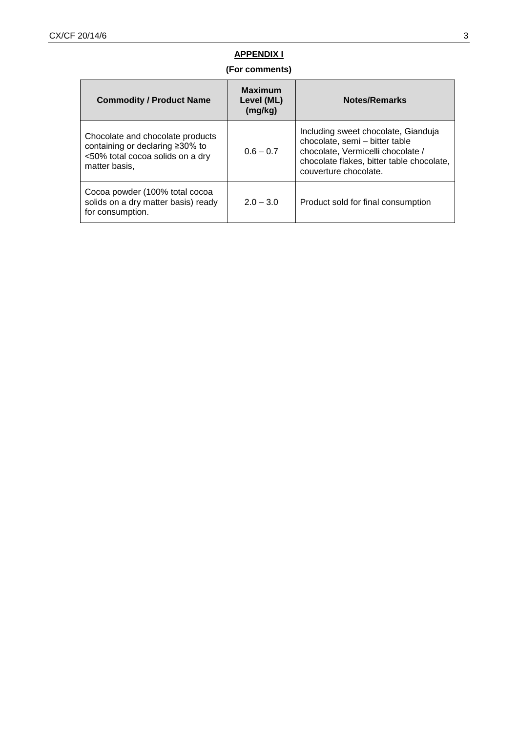# **APPENDIX I**

# **(For comments)**

| <b>Commodity / Product Name</b>                                                                                                 | <b>Maximum</b><br>Level (ML)<br>(mg/kg) | Notes/Remarks                                                                                                                                                                    |
|---------------------------------------------------------------------------------------------------------------------------------|-----------------------------------------|----------------------------------------------------------------------------------------------------------------------------------------------------------------------------------|
| Chocolate and chocolate products<br>containing or declaring $\geq 30\%$ to<br><50% total cocoa solids on a dry<br>matter basis. | $0.6 - 0.7$                             | Including sweet chocolate, Gianduja<br>chocolate, semi - bitter table<br>chocolate, Vermicelli chocolate /<br>chocolate flakes, bitter table chocolate,<br>couverture chocolate. |
| Cocoa powder (100% total cocoa<br>solids on a dry matter basis) ready<br>for consumption.                                       | $2.0 - 3.0$                             | Product sold for final consumption                                                                                                                                               |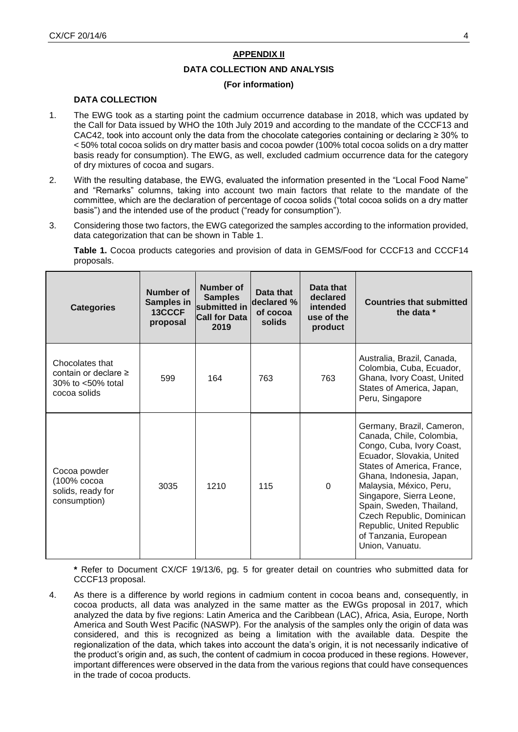## **APPENDIX II**

## **DATA COLLECTION AND ANALYSIS**

## **(For information)**

## **DATA COLLECTION**

- 1. The EWG took as a starting point the cadmium occurrence database in 2018, which was updated by the Call for Data issued by WHO the 10th July 2019 and according to the mandate of the CCCF13 and CAC42, took into account only the data from the chocolate categories containing or declaring ≥ 30% to < 50% total cocoa solids on dry matter basis and cocoa powder (100% total cocoa solids on a dry matter basis ready for consumption). The EWG, as well, excluded cadmium occurrence data for the category of dry mixtures of cocoa and sugars.
- 2. With the resulting database, the EWG, evaluated the information presented in the "Local Food Name" and "Remarks" columns, taking into account two main factors that relate to the mandate of the committee, which are the declaration of percentage of cocoa solids ("total cocoa solids on a dry matter basis") and the intended use of the product ("ready for consumption").
- 3. Considering those two factors, the EWG categorized the samples according to the information provided, data categorization that can be shown in Table 1.

**Table 1.** Cocoa products categories and provision of data in GEMS/Food for CCCF13 and CCCF14 proposals.

| <b>Categories</b>                                                                       | Number of<br>Samples in<br>13CCCF<br>proposal | Number of<br><b>Samples</b><br>submitted in<br><b>Call for Data</b><br>2019 | Data that<br>declared %<br>of cocoa<br>solids | Data that<br>declared<br>intended<br>use of the<br>product | <b>Countries that submitted</b><br>the data *                                                                                                                                                                                                                                                                                                                      |
|-----------------------------------------------------------------------------------------|-----------------------------------------------|-----------------------------------------------------------------------------|-----------------------------------------------|------------------------------------------------------------|--------------------------------------------------------------------------------------------------------------------------------------------------------------------------------------------------------------------------------------------------------------------------------------------------------------------------------------------------------------------|
| Chocolates that<br>contain or declare $\geq$<br>$30\%$ to $<50\%$ total<br>cocoa solids | 599                                           | 164                                                                         | 763                                           | 763                                                        | Australia, Brazil, Canada,<br>Colombia, Cuba, Ecuador,<br>Ghana, Ivory Coast, United<br>States of America, Japan,<br>Peru, Singapore                                                                                                                                                                                                                               |
| Cocoa powder<br>(100% cocoa<br>solids, ready for<br>consumption)                        | 3035                                          | 1210                                                                        | 115                                           | $\Omega$                                                   | Germany, Brazil, Cameron,<br>Canada, Chile, Colombia,<br>Congo, Cuba, Ivory Coast,<br>Ecuador, Slovakia, United<br>States of America, France,<br>Ghana, Indonesia, Japan,<br>Malaysia, México, Peru,<br>Singapore, Sierra Leone,<br>Spain, Sweden, Thailand,<br>Czech Republic, Dominican<br>Republic, United Republic<br>of Tanzania, European<br>Union, Vanuatu. |

**\*** Refer to Document CX/CF 19/13/6, pg. 5 for greater detail on countries who submitted data for CCCF13 proposal.

4. As there is a difference by world regions in cadmium content in cocoa beans and, consequently, in cocoa products, all data was analyzed in the same matter as the EWGs proposal in 2017, which analyzed the data by five regions: Latin America and the Caribbean (LAC), Africa, Asia, Europe, North America and South West Pacific (NASWP). For the analysis of the samples only the origin of data was considered, and this is recognized as being a limitation with the available data. Despite the regionalization of the data, which takes into account the data's origin, it is not necessarily indicative of the product's origin and, as such, the content of cadmium in cocoa produced in these regions. However, important differences were observed in the data from the various regions that could have consequences in the trade of cocoa products.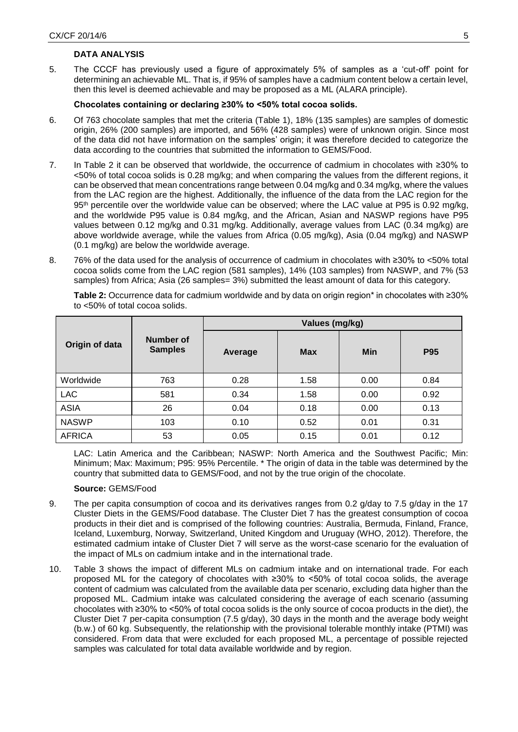## **DATA ANALYSIS**

5. The CCCF has previously used a figure of approximately 5% of samples as a 'cut-off' point for determining an achievable ML. That is, if 95% of samples have a cadmium content below a certain level, then this level is deemed achievable and may be proposed as a ML (ALARA principle).

## **Chocolates containing or declaring ≥30% to <50% total cocoa solids.**

- 6. Of 763 chocolate samples that met the criteria (Table 1), 18% (135 samples) are samples of domestic origin, 26% (200 samples) are imported, and 56% (428 samples) were of unknown origin. Since most of the data did not have information on the samples' origin; it was therefore decided to categorize the data according to the countries that submitted the information to GEMS/Food.
- 7. In Table 2 it can be observed that worldwide, the occurrence of cadmium in chocolates with ≥30% to <50% of total cocoa solids is 0.28 mg/kg; and when comparing the values from the different regions, it can be observed that mean concentrations range between 0.04 mg/kg and 0.34 mg/kg, where the values from the LAC region are the highest. Additionally, the influence of the data from the LAC region for the 95<sup>th</sup> percentile over the worldwide value can be observed; where the LAC value at P95 is 0.92 mg/kg, and the worldwide P95 value is 0.84 mg/kg, and the African, Asian and NASWP regions have P95 values between 0.12 mg/kg and 0.31 mg/kg. Additionally, average values from LAC (0.34 mg/kg) are above worldwide average, while the values from Africa (0.05 mg/kg), Asia (0.04 mg/kg) and NASWP (0.1 mg/kg) are below the worldwide average.
- 8. 76% of the data used for the analysis of occurrence of cadmium in chocolates with ≥30% to <50% total cocoa solids come from the LAC region (581 samples), 14% (103 samples) from NASWP, and 7% (53 samples) from Africa; Asia (26 samples= 3%) submitted the least amount of data for this category.

|                |                             | Values (mg/kg) |            |            |            |  |
|----------------|-----------------------------|----------------|------------|------------|------------|--|
| Origin of data | Number of<br><b>Samples</b> | Average        | <b>Max</b> | <b>Min</b> | <b>P95</b> |  |
| Worldwide      | 763                         | 0.28           | 1.58       | 0.00       | 0.84       |  |
| <b>LAC</b>     | 581                         | 0.34           | 1.58       | 0.00       | 0.92       |  |
| <b>ASIA</b>    | 26                          | 0.04           | 0.18       | 0.00       | 0.13       |  |
| <b>NASWP</b>   | 103                         | 0.10           | 0.52       | 0.01       | 0.31       |  |
| <b>AFRICA</b>  | 53                          | 0.05           | 0.15       | 0.01       | 0.12       |  |

**Table 2:** Occurrence data for cadmium worldwide and by data on origin region\* in chocolates with ≥30% to <50% of total cocoa solids.

LAC: Latin America and the Caribbean; NASWP: North America and the Southwest Pacific; Min: Minimum; Max: Maximum; P95: 95% Percentile. \* The origin of data in the table was determined by the country that submitted data to GEMS/Food, and not by the true origin of the chocolate.

## **Source:** GEMS/Food

- 9. The per capita consumption of cocoa and its derivatives ranges from 0.2 g/day to 7.5 g/day in the 17 Cluster Diets in the GEMS/Food database. The Cluster Diet 7 has the greatest consumption of cocoa products in their diet and is comprised of the following countries: Australia, Bermuda, Finland, France, Iceland, Luxemburg, Norway, Switzerland, United Kingdom and Uruguay (WHO, 2012). Therefore, the estimated cadmium intake of Cluster Diet 7 will serve as the worst-case scenario for the evaluation of the impact of MLs on cadmium intake and in the international trade.
- 10. Table 3 shows the impact of different MLs on cadmium intake and on international trade. For each proposed ML for the category of chocolates with ≥30% to <50% of total cocoa solids, the average content of cadmium was calculated from the available data per scenario, excluding data higher than the proposed ML. Cadmium intake was calculated considering the average of each scenario (assuming chocolates with ≥30% to <50% of total cocoa solids is the only source of cocoa products in the diet), the Cluster Diet 7 per-capita consumption (7.5 g/day), 30 days in the month and the average body weight (b.w.) of 60 kg. Subsequently, the relationship with the provisional tolerable monthly intake (PTMI) was considered. From data that were excluded for each proposed ML, a percentage of possible rejected samples was calculated for total data available worldwide and by region.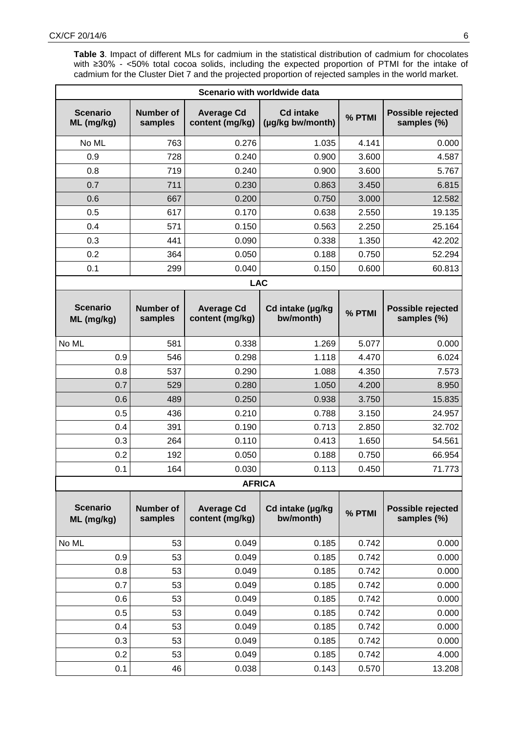**Table 3**. Impact of different MLs for cadmium in the statistical distribution of cadmium for chocolates with ≥30% - <50% total cocoa solids, including the expected proportion of PTMI for the intake of cadmium for the Cluster Diet 7 and the projected proportion of rejected samples in the world market.

| Scenario with worldwide data  |                             |                                      |                                      |        |                                  |  |
|-------------------------------|-----------------------------|--------------------------------------|--------------------------------------|--------|----------------------------------|--|
| <b>Scenario</b><br>ML (mg/kg) | <b>Number of</b><br>samples | <b>Average Cd</b><br>content (mg/kg) | <b>Cd intake</b><br>(µg/kg bw/month) | % PTMI | Possible rejected<br>samples (%) |  |
| No ML                         | 763                         | 0.276                                | 1.035                                | 4.141  | 0.000                            |  |
| 0.9                           | 728                         | 0.240                                | 0.900                                | 3.600  | 4.587                            |  |
| 0.8                           | 719                         | 0.240                                | 0.900                                | 3.600  | 5.767                            |  |
| 0.7                           | 711                         | 0.230                                | 0.863                                | 3.450  | 6.815                            |  |
| 0.6                           | 667                         | 0.200                                | 0.750                                | 3.000  | 12.582                           |  |
| 0.5                           | 617                         | 0.170                                | 0.638                                | 2.550  | 19.135                           |  |
| 0.4                           | 571                         | 0.150                                | 0.563                                | 2.250  | 25.164                           |  |
| 0.3                           | 441                         | 0.090                                | 0.338                                | 1.350  | 42.202                           |  |
| 0.2                           | 364                         | 0.050                                | 0.188                                | 0.750  | 52.294                           |  |
| 0.1                           | 299                         | 0.040                                | 0.150                                | 0.600  | 60.813                           |  |
|                               |                             | <b>LAC</b>                           |                                      |        |                                  |  |
| <b>Scenario</b><br>ML (mg/kg) | <b>Number of</b><br>samples | <b>Average Cd</b><br>content (mg/kg) | Cd intake (µg/kg<br>bw/month)        | % PTMI | Possible rejected<br>samples (%) |  |
| No ML                         | 581                         | 0.338                                | 1.269                                | 5.077  | 0.000                            |  |
| 0.9                           | 546                         | 0.298                                | 1.118                                | 4.470  | 6.024                            |  |
| 0.8                           | 537                         | 0.290                                | 1.088                                | 4.350  | 7.573                            |  |
| 0.7                           | 529                         | 0.280                                | 1.050                                | 4.200  | 8.950                            |  |
| 0.6                           | 489                         | 0.250                                | 0.938                                | 3.750  | 15.835                           |  |
| 0.5                           | 436                         | 0.210                                | 0.788                                | 3.150  | 24.957                           |  |
| 0.4                           | 391                         | 0.190                                | 0.713                                | 2.850  | 32.702                           |  |
| 0.3                           | 264                         | 0.110                                | 0.413                                | 1.650  | 54.561                           |  |
| 0.2                           | 192                         | 0.050                                | 0.188                                | 0.750  | 66.954                           |  |
| 0.1                           | 164                         | 0.030                                | 0.113                                | 0.450  | 71.773                           |  |
|                               |                             | <b>AFRICA</b>                        |                                      |        |                                  |  |
| <b>Scenario</b><br>ML (mg/kg) | <b>Number of</b><br>samples | <b>Average Cd</b><br>content (mg/kg) | Cd intake (µg/kg<br>bw/month)        | % PTMI | Possible rejected<br>samples (%) |  |
| No ML                         | 53                          | 0.049                                | 0.185                                | 0.742  | 0.000                            |  |
| 0.9                           | 53                          | 0.049                                | 0.185                                | 0.742  | 0.000                            |  |
| 0.8                           | 53                          | 0.049                                | 0.185                                | 0.742  | 0.000                            |  |
| 0.7                           | 53                          | 0.049                                | 0.185                                | 0.742  | 0.000                            |  |
| 0.6                           | 53                          | 0.049                                | 0.185                                | 0.742  | 0.000                            |  |
| 0.5                           | 53                          | 0.049                                | 0.185                                | 0.742  | 0.000                            |  |
| 0.4                           | 53                          | 0.049                                | 0.185                                | 0.742  | 0.000                            |  |
| 0.3                           | 53                          | 0.049                                | 0.185                                | 0.742  | 0.000                            |  |
| 0.2                           | 53                          | 0.049                                | 0.185                                | 0.742  | 4.000                            |  |
| 0.1                           | 46                          | 0.038                                | 0.143                                | 0.570  | 13.208                           |  |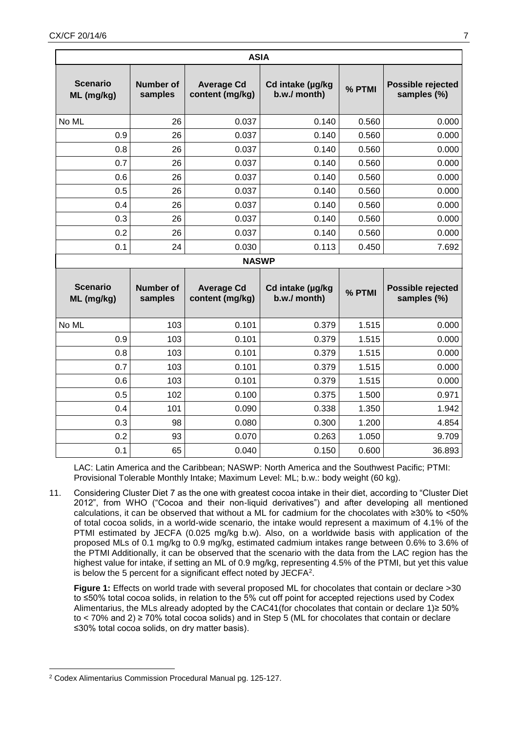| <b>ASIA</b>                   |                             |                                      |                                  |        |                                  |  |
|-------------------------------|-----------------------------|--------------------------------------|----------------------------------|--------|----------------------------------|--|
| <b>Scenario</b><br>ML (mg/kg) | <b>Number of</b><br>samples | <b>Average Cd</b><br>content (mg/kg) | Cd intake (µg/kg<br>b.w./ month) | % PTMI | Possible rejected<br>samples (%) |  |
| No ML                         | 26                          | 0.037                                | 0.140                            | 0.560  | 0.000                            |  |
| 0.9                           | 26                          | 0.037                                | 0.140                            | 0.560  | 0.000                            |  |
| 0.8                           | 26                          | 0.037                                | 0.140                            | 0.560  | 0.000                            |  |
| 0.7                           | 26                          | 0.037                                | 0.140                            | 0.560  | 0.000                            |  |
| 0.6                           | 26                          | 0.037                                | 0.140                            | 0.560  | 0.000                            |  |
| 0.5                           | 26                          | 0.037                                | 0.140                            | 0.560  | 0.000                            |  |
| 0.4                           | 26                          | 0.037                                | 0.140                            | 0.560  | 0.000                            |  |
| 0.3                           | 26                          | 0.037                                | 0.140                            | 0.560  | 0.000                            |  |
| 0.2                           | 26                          | 0.037                                | 0.140                            | 0.560  | 0.000                            |  |
| 0.1                           | 24                          | 0.030                                | 0.113                            | 0.450  | 7.692                            |  |
|                               |                             | <b>NASWP</b>                         |                                  |        |                                  |  |
| <b>Scenario</b><br>ML (mg/kg) | <b>Number of</b><br>samples | <b>Average Cd</b><br>content (mg/kg) | Cd intake (µg/kg<br>b.w./ month) | % PTMI | Possible rejected<br>samples (%) |  |
| No ML                         | 103                         | 0.101                                | 0.379                            | 1.515  | 0.000                            |  |
| 0.9                           | 103                         | 0.101                                | 0.379                            | 1.515  | 0.000                            |  |
| 0.8                           | 103                         | 0.101                                | 0.379                            | 1.515  | 0.000                            |  |
| 0.7                           | 103                         | 0.101                                | 0.379                            | 1.515  | 0.000                            |  |
| 0.6                           | 103                         | 0.101                                | 0.379                            | 1.515  | 0.000                            |  |
| 0.5                           | 102                         | 0.100                                | 0.375                            | 1.500  | 0.971                            |  |
| 0.4                           | 101                         | 0.090                                | 0.338                            | 1.350  | 1.942                            |  |
| 0.3                           | 98                          | 0.080                                | 0.300                            | 1.200  | 4.854                            |  |
| 0.2                           | 93                          | 0.070                                | 0.263                            | 1.050  | 9.709                            |  |
| 0.1                           | 65                          | 0.040                                | 0.150                            | 0.600  | 36.893                           |  |

LAC: Latin America and the Caribbean; NASWP: North America and the Southwest Pacific; PTMI: Provisional Tolerable Monthly Intake; Maximum Level: ML; b.w.: body weight (60 kg).

11. Considering Cluster Diet 7 as the one with greatest cocoa intake in their diet, according to "Cluster Diet 2012", from WHO ("Cocoa and their non-liquid derivatives") and after developing all mentioned calculations, it can be observed that without a ML for cadmium for the chocolates with ≥30% to <50% of total cocoa solids, in a world-wide scenario, the intake would represent a maximum of 4.1% of the PTMI estimated by JECFA (0.025 mg/kg b.w). Also, on a worldwide basis with application of the proposed MLs of 0.1 mg/kg to 0.9 mg/kg, estimated cadmium intakes range between 0.6% to 3.6% of the PTMI Additionally, it can be observed that the scenario with the data from the LAC region has the highest value for intake, if setting an ML of 0.9 mg/kg, representing 4.5% of the PTMI, but yet this value is below the 5 percent for a significant effect noted by  $\mathsf{JECFA}^2$ .

**Figure 1:** Effects on world trade with several proposed ML for chocolates that contain or declare >30 to ≤50% total cocoa solids, in relation to the 5% cut off point for accepted rejections used by Codex Alimentarius, the MLs already adopted by the CAC41(for chocolates that contain or declare 1)≥ 50% to < 70% and 2) ≥ 70% total cocoa solids) and in Step 5 (ML for chocolates that contain or declare ≤30% total cocoa solids, on dry matter basis).

**<sup>.</sup>** <sup>2</sup> Codex Alimentarius Commission Procedural Manual pg. 125-127.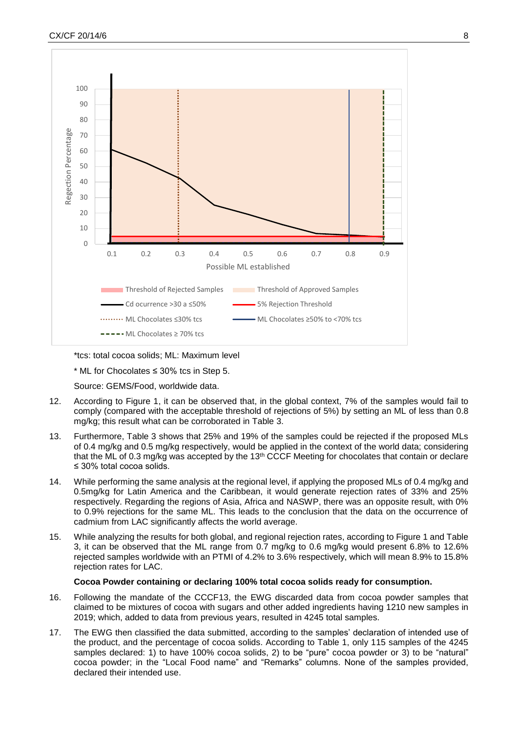

\*tcs: total cocoa solids; ML: Maximum level

\* ML for Chocolates ≤ 30% tcs in Step 5.

Source: GEMS/Food, worldwide data.

- 12. According to Figure 1, it can be observed that, in the global context, 7% of the samples would fail to comply (compared with the acceptable threshold of rejections of 5%) by setting an ML of less than 0.8 mg/kg; this result what can be corroborated in Table 3.
- 13. Furthermore, Table 3 shows that 25% and 19% of the samples could be rejected if the proposed MLs of 0.4 mg/kg and 0.5 mg/kg respectively, would be applied in the context of the world data; considering that the ML of 0.3 mg/kg was accepted by the  $13<sup>th</sup>$  CCCF Meeting for chocolates that contain or declare ≤ 30% total cocoa solids.
- 14. While performing the same analysis at the regional level, if applying the proposed MLs of 0.4 mg/kg and 0.5mg/kg for Latin America and the Caribbean, it would generate rejection rates of 33% and 25% respectively. Regarding the regions of Asia, Africa and NASWP, there was an opposite result, with 0% to 0.9% rejections for the same ML. This leads to the conclusion that the data on the occurrence of cadmium from LAC significantly affects the world average.
- 15. While analyzing the results for both global, and regional rejection rates, according to Figure 1 and Table 3, it can be observed that the ML range from 0.7 mg/kg to 0.6 mg/kg would present 6.8% to 12.6% rejected samples worldwide with an PTMI of 4.2% to 3.6% respectively, which will mean 8.9% to 15.8% rejection rates for LAC.

## **Cocoa Powder containing or declaring 100% total cocoa solids ready for consumption.**

- 16. Following the mandate of the CCCF13, the EWG discarded data from cocoa powder samples that claimed to be mixtures of cocoa with sugars and other added ingredients having 1210 new samples in 2019; which, added to data from previous years, resulted in 4245 total samples.
- 17. The EWG then classified the data submitted, according to the samples' declaration of intended use of the product, and the percentage of cocoa solids. According to Table 1, only 115 samples of the 4245 samples declared: 1) to have 100% cocoa solids, 2) to be "pure" cocoa powder or 3) to be "natural" cocoa powder; in the "Local Food name" and "Remarks" columns. None of the samples provided, declared their intended use.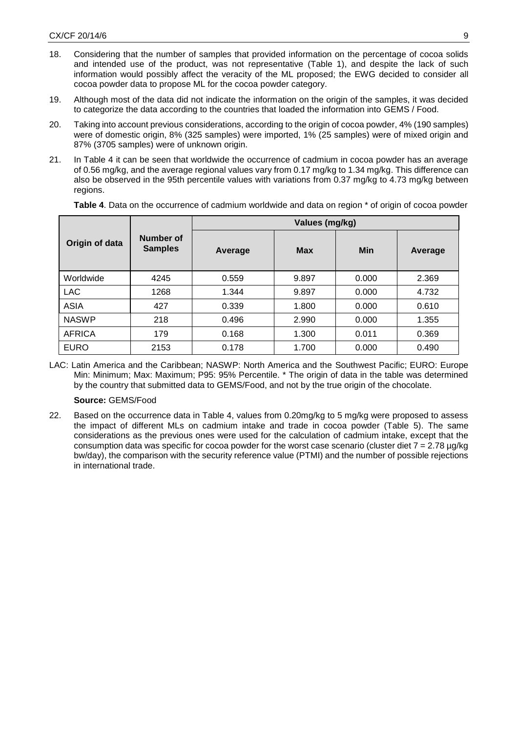- 18. Considering that the number of samples that provided information on the percentage of cocoa solids and intended use of the product, was not representative (Table 1), and despite the lack of such information would possibly affect the veracity of the ML proposed; the EWG decided to consider all cocoa powder data to propose ML for the cocoa powder category.
- 19. Although most of the data did not indicate the information on the origin of the samples, it was decided to categorize the data according to the countries that loaded the information into GEMS / Food.
- 20. Taking into account previous considerations, according to the origin of cocoa powder, 4% (190 samples) were of domestic origin, 8% (325 samples) were imported, 1% (25 samples) were of mixed origin and 87% (3705 samples) were of unknown origin.
- 21. In Table 4 it can be seen that worldwide the occurrence of cadmium in cocoa powder has an average of 0.56 mg/kg, and the average regional values vary from 0.17 mg/kg to 1.34 mg/kg. This difference can also be observed in the 95th percentile values with variations from 0.37 mg/kg to 4.73 mg/kg between regions.

|                |                             | Values (mg/kg) |            |       |         |  |  |
|----------------|-----------------------------|----------------|------------|-------|---------|--|--|
| Origin of data | Number of<br><b>Samples</b> | Average        | <b>Max</b> | Min   | Average |  |  |
| Worldwide      | 4245                        | 0.559          | 9.897      | 0.000 | 2.369   |  |  |
| <b>LAC</b>     | 1268                        | 1.344          | 9.897      | 0.000 | 4.732   |  |  |
| <b>ASIA</b>    | 427                         | 0.339          | 1.800      | 0.000 | 0.610   |  |  |
| <b>NASWP</b>   | 218                         | 0.496          | 2.990      | 0.000 | 1.355   |  |  |
| <b>AFRICA</b>  | 179                         | 0.168          | 1.300      | 0.011 | 0.369   |  |  |
| <b>EURO</b>    | 2153                        | 0.178          | 1.700      | 0.000 | 0.490   |  |  |

**Table 4**. Data on the occurrence of cadmium worldwide and data on region \* of origin of cocoa powder

LAC: Latin America and the Caribbean; NASWP: North America and the Southwest Pacific; EURO: Europe Min: Minimum; Max: Maximum; P95: 95% Percentile. \* The origin of data in the table was determined by the country that submitted data to GEMS/Food, and not by the true origin of the chocolate.

## **Source:** GEMS/Food

22. Based on the occurrence data in Table 4, values from 0.20mg/kg to 5 mg/kg were proposed to assess the impact of different MLs on cadmium intake and trade in cocoa powder (Table 5). The same considerations as the previous ones were used for the calculation of cadmium intake, except that the consumption data was specific for cocoa powder for the worst case scenario (cluster diet  $7 = 2.78 \mu g/kg$ bw/day), the comparison with the security reference value (PTMI) and the number of possible rejections in international trade.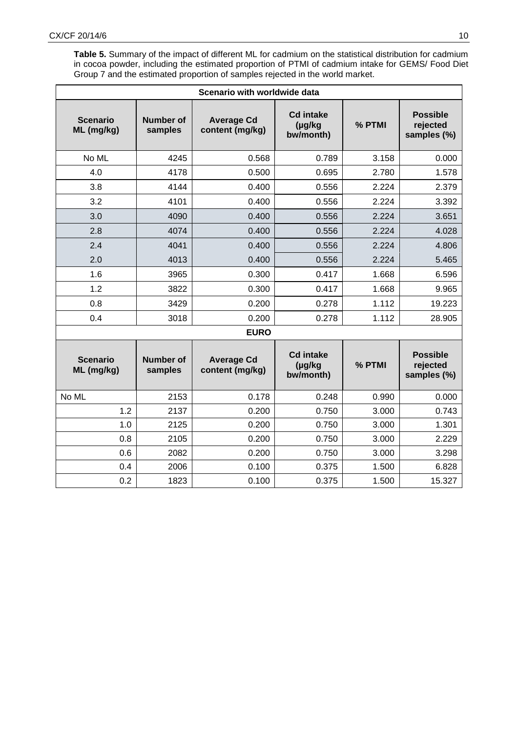**Table 5.** Summary of the impact of different ML for cadmium on the statistical distribution for cadmium in cocoa powder, including the estimated proportion of PTMI of cadmium intake for GEMS/ Food Diet Group 7 and the estimated proportion of samples rejected in the world market.

| Scenario with worldwide data  |                             |                                      |                                               |        |                                            |  |
|-------------------------------|-----------------------------|--------------------------------------|-----------------------------------------------|--------|--------------------------------------------|--|
| <b>Scenario</b><br>ML (mg/kg) | <b>Number of</b><br>samples | <b>Average Cd</b><br>content (mg/kg) | <b>Cd intake</b><br>$(\mu g/kg)$<br>bw/month) | % PTMI | <b>Possible</b><br>rejected<br>samples (%) |  |
| No ML                         | 4245                        | 0.568                                | 0.789                                         | 3.158  | 0.000                                      |  |
| 4.0                           | 4178                        | 0.500                                | 0.695                                         | 2.780  | 1.578                                      |  |
| 3.8                           | 4144                        | 0.400                                | 0.556                                         | 2.224  | 2.379                                      |  |
| 3.2                           | 4101                        | 0.400                                | 0.556                                         | 2.224  | 3.392                                      |  |
| 3.0                           | 4090                        | 0.400                                | 0.556                                         | 2.224  | 3.651                                      |  |
| 2.8                           | 4074                        | 0.400                                | 0.556                                         | 2.224  | 4.028                                      |  |
| 2.4                           | 4041                        | 0.400                                | 0.556                                         | 2.224  | 4.806                                      |  |
| 2.0                           | 4013                        | 0.400                                | 0.556                                         | 2.224  | 5.465                                      |  |
| 1.6                           | 3965                        | 0.300                                | 0.417                                         | 1.668  | 6.596                                      |  |
| 1.2                           | 3822                        | 0.300                                | 0.417                                         | 1.668  | 9.965                                      |  |
| 0.8                           | 3429                        | 0.200                                | 0.278                                         | 1.112  | 19.223                                     |  |
| 0.4                           | 3018                        | 0.200                                | 0.278                                         | 1.112  | 28.905                                     |  |
|                               |                             | <b>EURO</b>                          |                                               |        |                                            |  |
| <b>Scenario</b><br>ML (mg/kg) | <b>Number of</b><br>samples | <b>Average Cd</b><br>content (mg/kg) | <b>Cd intake</b><br>(µg/kg<br>bw/month)       | % PTMI | <b>Possible</b><br>rejected<br>samples (%) |  |
| No ML                         | 2153                        | 0.178                                | 0.248                                         | 0.990  | 0.000                                      |  |
| 1.2                           | 2137                        | 0.200                                | 0.750                                         | 3.000  | 0.743                                      |  |
| 1.0                           | 2125                        | 0.200                                | 0.750                                         | 3.000  | 1.301                                      |  |
| 0.8                           | 2105                        | 0.200                                | 0.750                                         | 3.000  | 2.229                                      |  |
| 0.6                           | 2082                        | 0.200                                | 0.750                                         | 3.000  | 3.298                                      |  |
| 0.4                           | 2006                        | 0.100                                | 0.375                                         | 1.500  | 6.828                                      |  |
| 0.2                           | 1823                        | 0.100                                | 0.375                                         | 1.500  | 15.327                                     |  |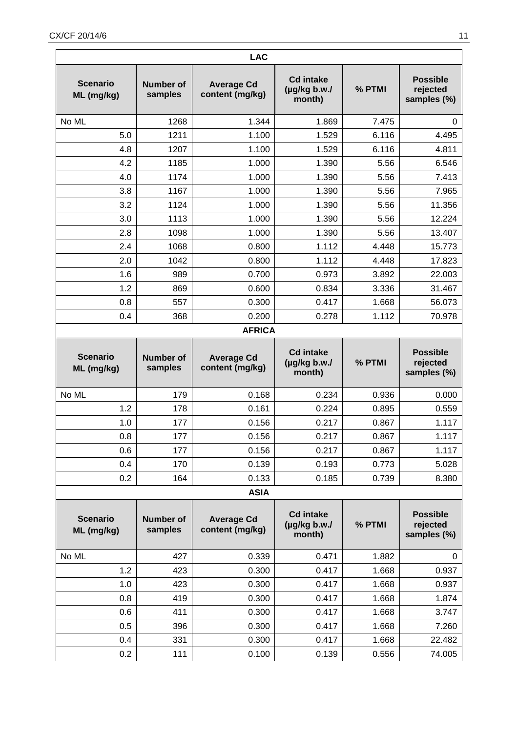| <b>LAC</b>                    |                             |                                      |                                                |        |                                            |  |
|-------------------------------|-----------------------------|--------------------------------------|------------------------------------------------|--------|--------------------------------------------|--|
| <b>Scenario</b><br>ML (mg/kg) | <b>Number of</b><br>samples | <b>Average Cd</b><br>content (mg/kg) | <b>Cd intake</b><br>$(\mu g/kg b.w.$<br>month) | % PTMI | <b>Possible</b><br>rejected<br>samples (%) |  |
| No ML                         | 1268                        | 1.344                                | 1.869                                          | 7.475  | 0                                          |  |
| 5.0                           | 1211                        | 1.100                                | 1.529                                          | 6.116  | 4.495                                      |  |
| 4.8                           | 1207                        | 1.100                                | 1.529                                          | 6.116  | 4.811                                      |  |
| 4.2                           | 1185                        | 1.000                                | 1.390                                          | 5.56   | 6.546                                      |  |
| 4.0                           | 1174                        | 1.000                                | 1.390                                          | 5.56   | 7.413                                      |  |
| 3.8                           | 1167                        | 1.000                                | 1.390                                          | 5.56   | 7.965                                      |  |
| 3.2                           | 1124                        | 1.000                                | 1.390                                          | 5.56   | 11.356                                     |  |
| 3.0                           | 1113                        | 1.000                                | 1.390                                          | 5.56   | 12.224                                     |  |
| 2.8                           | 1098                        | 1.000                                | 1.390                                          | 5.56   | 13.407                                     |  |
| 2.4                           | 1068                        | 0.800                                | 1.112                                          | 4.448  | 15.773                                     |  |
| 2.0                           | 1042                        | 0.800                                | 1.112                                          | 4.448  | 17.823                                     |  |
| 1.6                           | 989                         | 0.700                                | 0.973                                          | 3.892  | 22.003                                     |  |
| 1.2                           | 869                         | 0.600                                | 0.834                                          | 3.336  | 31.467                                     |  |
| 0.8                           | 557                         | 0.300                                | 0.417                                          | 1.668  | 56.073                                     |  |
| 0.4                           | 368                         | 0.200                                | 0.278                                          | 1.112  | 70.978                                     |  |
| <b>AFRICA</b>                 |                             |                                      |                                                |        |                                            |  |
| <b>Scenario</b><br>ML (mg/kg) | <b>Number of</b><br>samples | <b>Average Cd</b><br>content (mg/kg) | <b>Cd intake</b><br>$(\mu g/kg b.w.$<br>month) | % PTMI | <b>Possible</b><br>rejected<br>samples (%) |  |
| No ML                         | 179                         | 0.168                                | 0.234                                          | 0.936  | 0.000                                      |  |
| 1.2                           | 178                         | 0.161                                | 0.224                                          | 0.895  | 0.559                                      |  |
| 1.0                           | 177                         | 0.156                                | 0.217                                          | 0.867  | 1.117                                      |  |
| 0.8                           | 177                         | 0.156                                | 0.217                                          | 0.867  | 1.117                                      |  |
| 0.6                           | 177                         | 0.156                                | 0.217                                          | 0.867  | 1.117                                      |  |
| 0.4                           | 170                         | 0.139                                | 0.193                                          | 0.773  | 5.028                                      |  |
| 0.2                           | 164                         | 0.133                                | 0.185                                          | 0.739  | 8.380                                      |  |
|                               |                             | <b>ASIA</b>                          |                                                |        |                                            |  |
| <b>Scenario</b><br>ML (mg/kg) | <b>Number of</b><br>samples | <b>Average Cd</b><br>content (mg/kg) | <b>Cd intake</b><br>$(\mu g/kg b.w.$<br>month) | % PTMI | <b>Possible</b><br>rejected<br>samples (%) |  |
| No ML                         | 427                         | 0.339                                | 0.471                                          | 1.882  | 0                                          |  |
| 1.2                           |                             |                                      | 0.417                                          | 1.668  | 0.937                                      |  |
|                               | 423                         | 0.300                                |                                                |        |                                            |  |
| 1.0                           | 423                         | 0.300                                | 0.417                                          | 1.668  | 0.937                                      |  |
| 0.8                           | 419                         | 0.300                                | 0.417                                          | 1.668  | 1.874                                      |  |
| 0.6                           | 411                         | 0.300                                | 0.417                                          | 1.668  | 3.747                                      |  |
| 0.5                           | 396                         | 0.300                                | 0.417                                          | 1.668  | 7.260                                      |  |
| 0.4                           | 331                         | 0.300                                | 0.417                                          | 1.668  | 22.482                                     |  |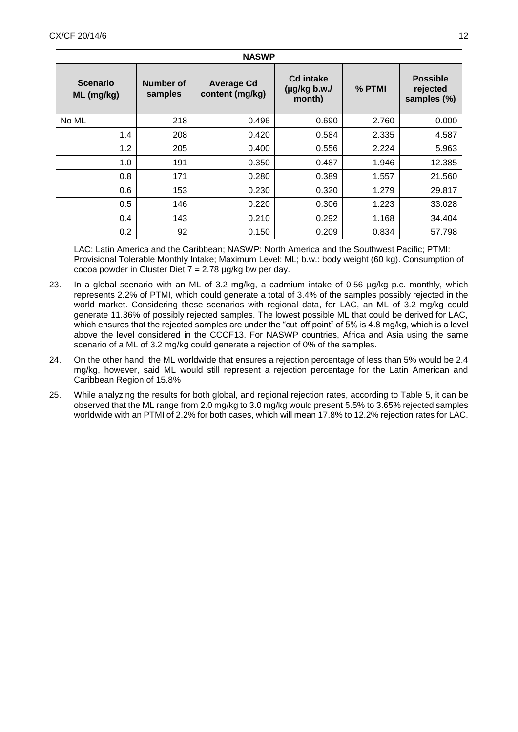| <b>NASWP</b>                  |                      |                                      |                                                |          |                                            |  |
|-------------------------------|----------------------|--------------------------------------|------------------------------------------------|----------|--------------------------------------------|--|
| <b>Scenario</b><br>ML (mg/kg) | Number of<br>samples | <b>Average Cd</b><br>content (mg/kg) | <b>Cd intake</b><br>$(\mu g/kg b.w.$<br>month) | $%$ PTMI | <b>Possible</b><br>rejected<br>samples (%) |  |
| No ML                         | 218                  | 0.496                                | 0.690                                          | 2.760    | 0.000                                      |  |
| 1.4                           | 208                  | 0.420                                | 0.584                                          | 2.335    | 4.587                                      |  |
| 1.2                           | 205                  | 0.400                                | 0.556                                          | 2.224    | 5.963                                      |  |
| 1.0                           | 191                  | 0.350                                | 0.487                                          | 1.946    | 12.385                                     |  |
| 0.8                           | 171                  | 0.280                                | 0.389                                          | 1.557    | 21.560                                     |  |
| 0.6                           | 153                  | 0.230                                | 0.320                                          | 1.279    | 29.817                                     |  |
| 0.5                           | 146                  | 0.220                                | 0.306                                          | 1.223    | 33.028                                     |  |
| 0.4                           | 143                  | 0.210                                | 0.292                                          | 1.168    | 34.404                                     |  |
| 0.2                           | 92                   | 0.150                                | 0.209                                          | 0.834    | 57.798                                     |  |

LAC: Latin America and the Caribbean; NASWP: North America and the Southwest Pacific; PTMI: Provisional Tolerable Monthly Intake; Maximum Level: ML; b.w.: body weight (60 kg). Consumption of cocoa powder in Cluster Diet  $7 = 2.78$  µg/kg bw per day.

- 23. In a global scenario with an ML of 3.2 mg/kg, a cadmium intake of 0.56 µg/kg p.c. monthly, which represents 2.2% of PTMI, which could generate a total of 3.4% of the samples possibly rejected in the world market. Considering these scenarios with regional data, for LAC, an ML of 3.2 mg/kg could generate 11.36% of possibly rejected samples. The lowest possible ML that could be derived for LAC, which ensures that the rejected samples are under the "cut-off point" of 5% is 4.8 mg/kg, which is a level above the level considered in the CCCF13. For NASWP countries, Africa and Asia using the same scenario of a ML of 3.2 mg/kg could generate a rejection of 0% of the samples.
- 24. On the other hand, the ML worldwide that ensures a rejection percentage of less than 5% would be 2.4 mg/kg, however, said ML would still represent a rejection percentage for the Latin American and Caribbean Region of 15.8%
- 25. While analyzing the results for both global, and regional rejection rates, according to Table 5, it can be observed that the ML range from 2.0 mg/kg to 3.0 mg/kg would present 5.5% to 3.65% rejected samples worldwide with an PTMI of 2.2% for both cases, which will mean 17.8% to 12.2% rejection rates for LAC.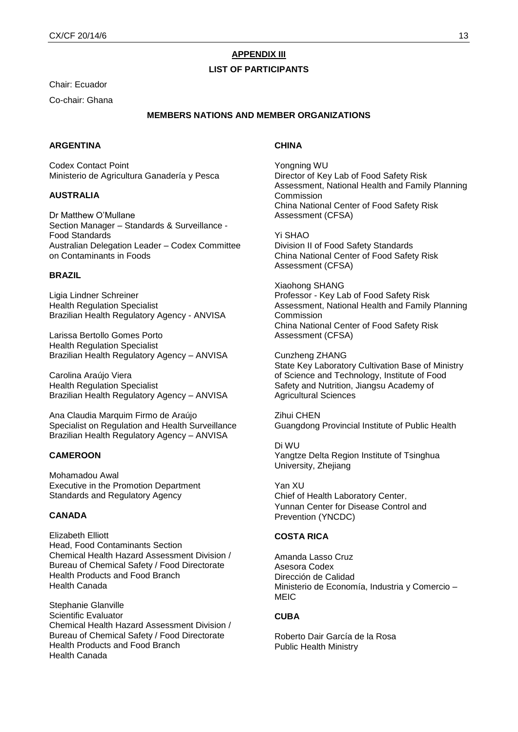# **APPENDIX III**

## **LIST OF PARTICIPANTS**

Chair: Ecuador

Co-chair: Ghana

## **MEMBERS NATIONS AND MEMBER ORGANIZATIONS**

## **ARGENTINA**

Codex Contact Point Ministerio de Agricultura Ganadería y Pesca

## **AUSTRALIA**

Dr Matthew O'Mullane Section Manager – Standards & Surveillance - Food Standards Australian Delegation Leader – Codex Committee on Contaminants in Foods

#### **BRAZIL**

Ligia Lindner Schreiner Health Regulation Specialist Brazilian Health Regulatory Agency - ANVISA

Larissa Bertollo Gomes Porto Health Regulation Specialist Brazilian Health Regulatory Agency – ANVISA

Carolina Araújo Viera Health Regulation Specialist Brazilian Health Regulatory Agency – ANVISA

Ana Claudia Marquim Firmo de Araújo Specialist on Regulation and Health Surveillance Brazilian Health Regulatory Agency – ANVISA

## **CAMEROON**

Mohamadou Awal Executive in the Promotion Department Standards and Regulatory Agency

#### **CANADA**

Elizabeth Elliott Head, Food Contaminants Section Chemical Health Hazard Assessment Division / Bureau of Chemical Safety / Food Directorate Health Products and Food Branch Health Canada

Stephanie Glanville Scientific Evaluator Chemical Health Hazard Assessment Division / Bureau of Chemical Safety / Food Directorate Health Products and Food Branch Health Canada

## **CHINA**

Yongning WU Director of Key Lab of Food Safety Risk Assessment, National Health and Family Planning Commission China National Center of Food Safety Risk Assessment (CFSA)

Yi SHAO Division II of Food Safety Standards China National Center of Food Safety Risk Assessment (CFSA)

Xiaohong SHANG Professor - Key Lab of Food Safety Risk Assessment, National Health and Family Planning Commission China National Center of Food Safety Risk Assessment (CFSA)

Cunzheng ZHANG State Key Laboratory Cultivation Base of Ministry of Science and Technology, Institute of Food Safety and Nutrition, Jiangsu Academy of Agricultural Sciences

Zihui CHEN Guangdong Provincial Institute of Public Health

Di WU Yangtze Delta Region Institute of Tsinghua University, Zhejiang

Yan XU Chief of Health Laboratory Center, Yunnan Center for Disease Control and Prevention (YNCDC)

## **COSTA RICA**

Amanda Lasso Cruz Asesora Codex Dirección de Calidad Ministerio de Economía, Industria y Comercio – MEIC.

## **CUBA**

Roberto Dair García de la Rosa Public Health Ministry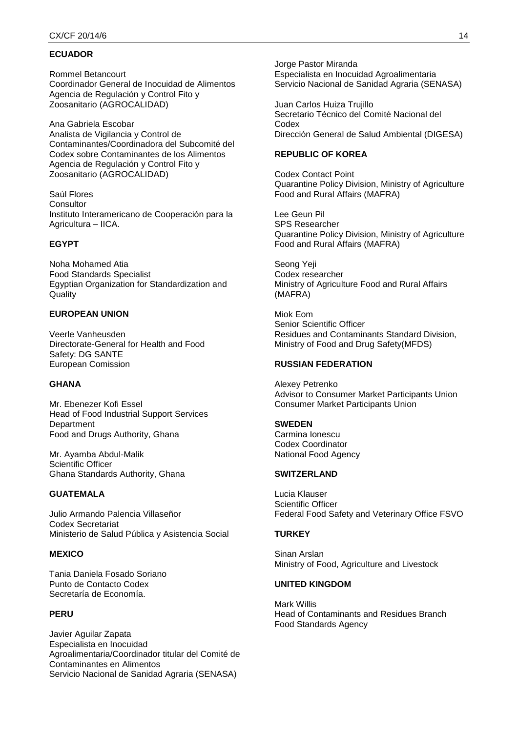# **ECUADOR**

Rommel Betancourt Coordinador General de Inocuidad de Alimentos Agencia de Regulación y Control Fito y Zoosanitario (AGROCALIDAD)

Ana Gabriela Escobar Analista de Vigilancia y Control de Contaminantes/Coordinadora del Subcomité del Codex sobre Contaminantes de los Alimentos Agencia de Regulación y Control Fito y Zoosanitario (AGROCALIDAD)

Saúl Flores **Consultor** Instituto Interamericano de Cooperación para la Agricultura – IICA.

## **EGYPT**

Noha Mohamed Atia Food Standards Specialist Egyptian Organization for Standardization and Quality

#### **EUROPEAN UNION**

Veerle Vanheusden Directorate-General for Health and Food Safety: DG SANTE European Comission

## **GHANA**

Mr. Ebenezer Kofi Essel Head of Food Industrial Support Services **Department** Food and Drugs Authority, Ghana

Mr. Ayamba Abdul-Malik Scientific Officer Ghana Standards Authority, Ghana

# **GUATEMALA**

Julio Armando Palencia Villaseñor Codex Secretariat Ministerio de Salud Pública y Asistencia Social

## **MEXICO**

Tania Daniela Fosado Soriano Punto de Contacto Codex Secretaría de Economía.

## **PERU**

Javier Aguilar Zapata Especialista en Inocuidad Agroalimentaria/Coordinador titular del Comité de Contaminantes en Alimentos Servicio Nacional de Sanidad Agraria (SENASA)

Jorge Pastor Miranda Especialista en Inocuidad Agroalimentaria Servicio Nacional de Sanidad Agraria (SENASA)

Juan Carlos Huiza Trujillo Secretario Técnico del Comité Nacional del Codex Dirección General de Salud Ambiental (DIGESA)

## **REPUBLIC OF KOREA**

Codex Contact Point Quarantine Policy Division, Ministry of Agriculture Food and Rural Affairs (MAFRA)

Lee Geun Pil SPS Researcher Quarantine Policy Division, Ministry of Agriculture Food and Rural Affairs (MAFRA)

Seong Yeji Codex researcher Ministry of Agriculture Food and Rural Affairs (MAFRA)

Miok Eom Senior Scientific Officer Residues and Contaminants Standard Division, Ministry of Food and Drug Safety(MFDS)

#### **RUSSIAN FEDERATION**

Alexey Petrenko Advisor to Consumer Market Participants Union Consumer Market Participants Union

#### **SWEDEN**

Carmina Ionescu Codex Coordinator National Food Agency

## **SWITZERLAND**

Lucia Klauser Scientific Officer Federal Food Safety and Veterinary Office FSVO

#### **TURKEY**

Sinan Arslan Ministry of Food, Agriculture and Livestock

## **UNITED KINGDOM**

Mark Willis Head of Contaminants and Residues Branch Food Standards Agency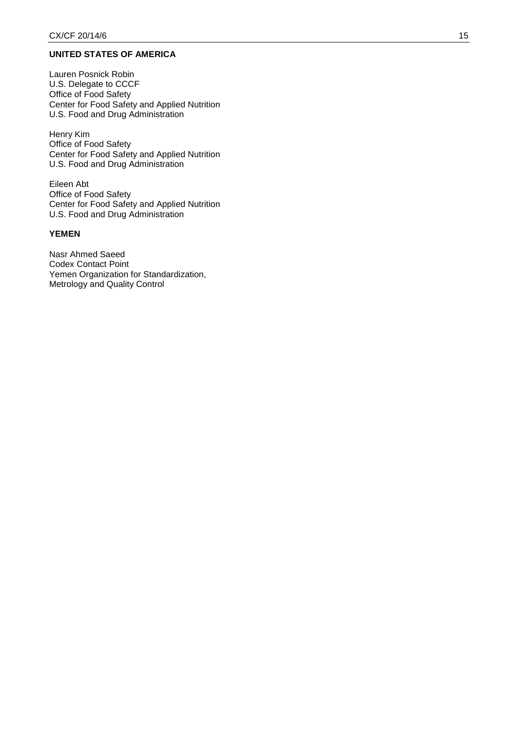## **UNITED STATES OF AMERICA**

Lauren Posnick Robin U.S. Delegate to CCCF Office of Food Safety Center for Food Safety and Applied Nutrition U.S. Food and Drug Administration

Henry Kim Office of Food Safety Center for Food Safety and Applied Nutrition U.S. Food and Drug Administration

Eileen Abt Office of Food Safety Center for Food Safety and Applied Nutrition U.S. Food and Drug Administration

# **YEMEN**

Nasr Ahmed Saeed Codex Contact Point Yemen Organization for Standardization, Metrology and Quality Control